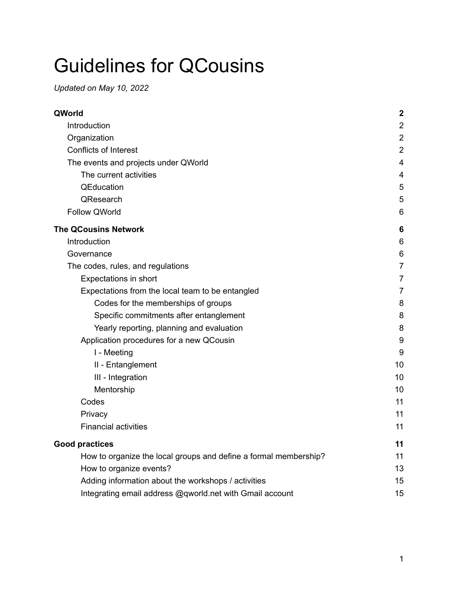# Guidelines for QCousins

*Updated on May 10, 2022*

| QWorld                                                           | $\boldsymbol{2}$ |
|------------------------------------------------------------------|------------------|
| Introduction                                                     | $\overline{2}$   |
| Organization                                                     | $\overline{2}$   |
| <b>Conflicts of Interest</b>                                     | $\overline{2}$   |
| The events and projects under QWorld                             | 4                |
| The current activities                                           | 4                |
| QEducation                                                       | 5                |
| QResearch                                                        | 5                |
| <b>Follow QWorld</b>                                             | 6                |
| <b>The QCousins Network</b>                                      | 6                |
| Introduction                                                     | 6                |
| Governance                                                       | 6                |
| The codes, rules, and regulations                                | 7                |
| Expectations in short                                            | 7                |
| Expectations from the local team to be entangled                 | 7                |
| Codes for the memberships of groups                              | 8                |
| Specific commitments after entanglement                          | 8                |
| Yearly reporting, planning and evaluation                        | 8                |
| Application procedures for a new QCousin                         | 9                |
| I - Meeting                                                      | 9                |
| II - Entanglement                                                | 10               |
| III - Integration                                                | 10               |
| Mentorship                                                       | 10               |
| Codes                                                            | 11               |
| Privacy                                                          | 11               |
| <b>Financial activities</b>                                      | 11               |
| <b>Good practices</b>                                            | 11               |
| How to organize the local groups and define a formal membership? | 11               |
| How to organize events?                                          | 13               |
| Adding information about the workshops / activities              | 15               |
| Integrating email address @qworld.net with Gmail account         | 15               |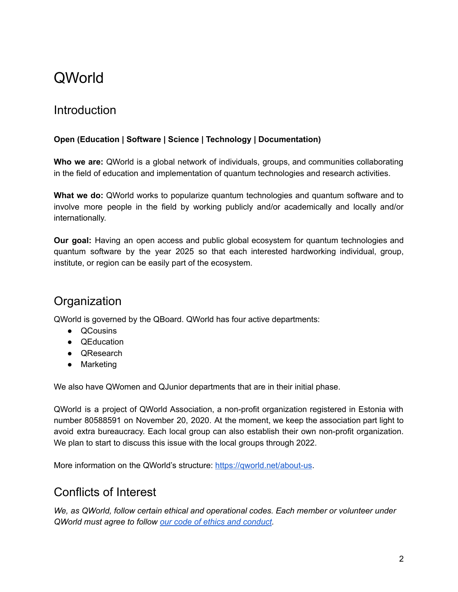## <span id="page-1-0"></span>QWorld

## <span id="page-1-1"></span>**Introduction**

#### **Open (Education | Software | Science | Technology | Documentation)**

**Who we are:** QWorld is a global network of individuals, groups, and communities collaborating in the field of education and implementation of quantum technologies and research activities.

**What we do:** QWorld works to popularize quantum technologies and quantum software and to involve more people in the field by working publicly and/or academically and locally and/or internationally.

**Our goal:** Having an open access and public global ecosystem for quantum technologies and quantum software by the year 2025 so that each interested hardworking individual, group, institute, or region can be easily part of the ecosystem.

## <span id="page-1-2"></span>**Organization**

QWorld is governed by the QBoard. QWorld has four active departments:

- QCousins
- QEducation
- QResearch
- Marketing

We also have QWomen and QJunior departments that are in their initial phase.

QWorld is a project of QWorld Association, a non-profit organization registered in Estonia with number 80588591 on November 20, 2020. At the moment, we keep the association part light to avoid extra bureaucracy. Each local group can also establish their own non-profit organization. We plan to start to discuss this issue with the local groups through 2022.

<span id="page-1-3"></span>More information on the QWorld's structure: <https://qworld.net/about-us>.

### Conflicts of Interest

*We, as QWorld, follow certain ethical and operational codes. Each member or volunteer under QWorld must agree to follow our code of ethics and [conduct](https://qworld.net/code-of-ethics-and-conduct/).*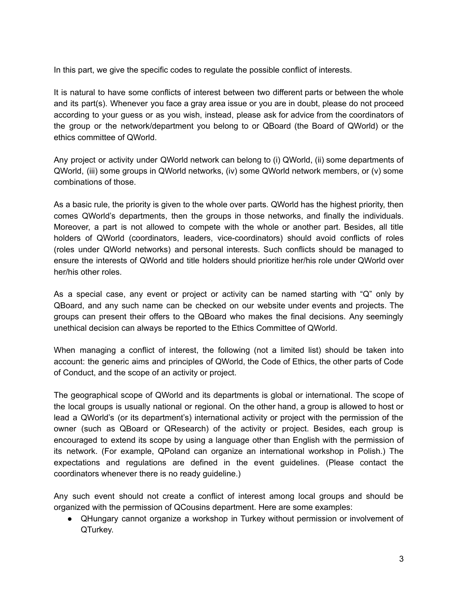In this part, we give the specific codes to regulate the possible conflict of interests.

It is natural to have some conflicts of interest between two different parts or between the whole and its part(s). Whenever you face a gray area issue or you are in doubt, please do not proceed according to your guess or as you wish, instead, please ask for advice from the coordinators of the group or the network/department you belong to or QBoard (the Board of QWorld) or the ethics committee of QWorld.

Any project or activity under QWorld network can belong to (i) QWorld, (ii) some departments of QWorld, (iii) some groups in QWorld networks, (iv) some QWorld network members, or (v) some combinations of those.

As a basic rule, the priority is given to the whole over parts. QWorld has the highest priority, then comes QWorld's departments, then the groups in those networks, and finally the individuals. Moreover, a part is not allowed to compete with the whole or another part. Besides, all title holders of QWorld (coordinators, leaders, vice-coordinators) should avoid conflicts of roles (roles under QWorld networks) and personal interests. Such conflicts should be managed to ensure the interests of QWorld and title holders should prioritize her/his role under QWorld over her/his other roles.

As a special case, any event or project or activity can be named starting with "Q" only by QBoard, and any such name can be checked on our website under events and projects. The groups can present their offers to the QBoard who makes the final decisions. Any seemingly unethical decision can always be reported to the Ethics Committee of QWorld.

When managing a conflict of interest, the following (not a limited list) should be taken into account: the generic aims and principles of QWorld, the Code of Ethics, the other parts of Code of Conduct, and the scope of an activity or project.

The geographical scope of QWorld and its departments is global or international. The scope of the local groups is usually national or regional. On the other hand, a group is allowed to host or lead a QWorld's (or its department's) international activity or project with the permission of the owner (such as QBoard or QResearch) of the activity or project. Besides, each group is encouraged to extend its scope by using a language other than English with the permission of its network. (For example, QPoland can organize an international workshop in Polish.) The expectations and regulations are defined in the event guidelines. (Please contact the coordinators whenever there is no ready guideline.)

Any such event should not create a conflict of interest among local groups and should be organized with the permission of QCousins department. Here are some examples:

● QHungary cannot organize a workshop in Turkey without permission or involvement of QTurkey.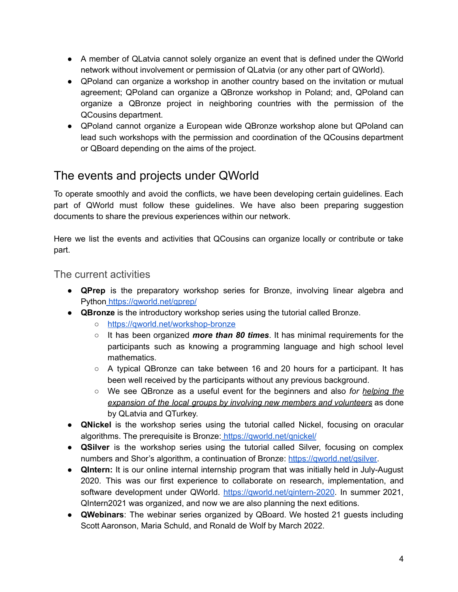- A member of QLatvia cannot solely organize an event that is defined under the QWorld network without involvement or permission of QLatvia (or any other part of QWorld).
- QPoland can organize a workshop in another country based on the invitation or mutual agreement; QPoland can organize a QBronze workshop in Poland; and, QPoland can organize a QBronze project in neighboring countries with the permission of the QCousins department.
- QPoland cannot organize a European wide QBronze workshop alone but QPoland can lead such workshops with the permission and coordination of the QCousins department or QBoard depending on the aims of the project.

## <span id="page-3-0"></span>The events and projects under QWorld

To operate smoothly and avoid the conflicts, we have been developing certain guidelines. Each part of QWorld must follow these guidelines. We have also been preparing suggestion documents to share the previous experiences within our network.

Here we list the events and activities that QCousins can organize locally or contribute or take part.

#### <span id="page-3-1"></span>The current activities

- **QPrep** is the preparatory workshop series for Bronze, involving linear algebra and Python <https://qworld.net/qprep/>
- **QBronze** is the introductory workshop series using the tutorial called Bronze.
	- [https://qworld.net/workshop-bronze](https://qworld.net/workshop-bronze/)
	- It has been organized *more than 80 times*. It has minimal requirements for the participants such as knowing a programming language and high school level mathematics.
	- $\circ$  A typical QBronze can take between 16 and 20 hours for a participant. It has been well received by the participants without any previous background.
	- We see QBronze as a useful event for the beginners and also *for helping the expansion of the local groups by involving new members and volunteers* as done by QLatvia and QTurkey.
- **QNickel** is the workshop series using the tutorial called Nickel, focusing on oracular algorithms. The prerequisite is Bronze: <https://qworld.net/qnickel/>
- **QSilver** is the workshop series using the tutorial called Silver, focusing on complex numbers and Shor's algorithm, a continuation of Bronze: <https://qworld.net/qsilver>.
- **● QIntern:** It is our online internal internship program that was initially held in July-August 2020. This was our first experience to collaborate on research, implementation, and software development under QWorld. [https://qworld.net/qintern-2020](https://qworld.net/qintern-2020/). In summer 2021, QIntern2021 was organized, and now we are also planning the next editions.
- **QWebinars**: The webinar series organized by QBoard. We hosted 21 guests including Scott Aaronson, Maria Schuld, and Ronald de Wolf by March 2022.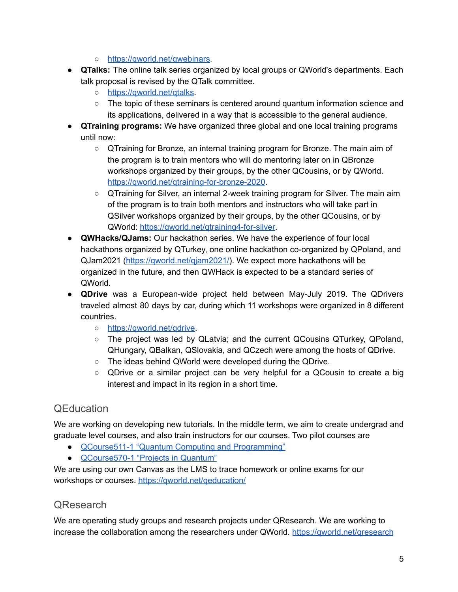- [https://qworld.net/qwebinars.](https://qworld.net/qwebinars/)
- **● QTalks:** The online talk series organized by local groups or QWorld's departments. Each talk proposal is revised by the QTalk committee.
	- [https://qworld.net/qtalks](https://qworld.net/qtalks/).
	- The topic of these seminars is centered around quantum information science and its applications, delivered in a way that is accessible to the general audience.
- **● QTraining programs:** We have organized three global and one local training programs until now:
	- **○** QTraining for Bronze, an internal training program for Bronze. The main aim of the program is to train mentors who will do mentoring later on in QBronze workshops organized by their groups, by the other QCousins, or by QWorld. [https://qworld.net/qtraining-for-bronze-2020.](https://qworld.net/qtraining-for-bronze-2020/)
	- QTraining for Silver, an internal 2-week training program for Silver. The main aim of the program is to train both mentors and instructors who will take part in QSilver workshops organized by their groups, by the other QCousins, or by QWorld: <https://qworld.net/qtraining4-for-silver>.
- **● QWHacks/QJams:** Our hackathon series. We have the experience of four local hackathons organized by QTurkey, one online hackathon co-organized by QPoland, and QJam2021 [\(https://qworld.net/qjam2021/\)](https://qworld.net/qjam2021/). We expect more hackathons will be organized in the future, and then QWHack is expected to be a standard series of QWorld.
- **QDrive** was a European-wide project held between May-July 2019. The QDrivers traveled almost 80 days by car, during which 11 workshops were organized in 8 different countries.
	- [https://qworld.net/qdrive.](https://qworld.net/qdrive/)
	- The project was led by QLatvia; and the current QCousins QTurkey, QPoland, QHungary, QBalkan, QSlovakia, and QCzech were among the hosts of QDrive.
	- The ideas behind QWorld were developed during the QDrive.
	- QDrive or a similar project can be very helpful for a QCousin to create a big interest and impact in its region in a short time.

#### <span id="page-4-0"></span>**OEducation**

We are working on developing new tutorials. In the middle term, we aim to create undergrad and graduate level courses, and also train instructors for our courses. Two pilot courses are

- [QCourse511-1](https://qworld.net/qcourse511-1/) "Quantum Computing and Programming"
- [QCourse570-1](https://qworld.net/qcourse570-1/) "Projects in Quantum"

We are using our own Canvas as the LMS to trace homework or online exams for our workshops or courses. https://gworld.net/geducation/

### <span id="page-4-1"></span>**OResearch**

We are operating study groups and research projects under QResearch. We are working to increase the collaboration among the researchers under QWorld. [https://qworld.net/qresearch](https://qworld.net/qresearch/)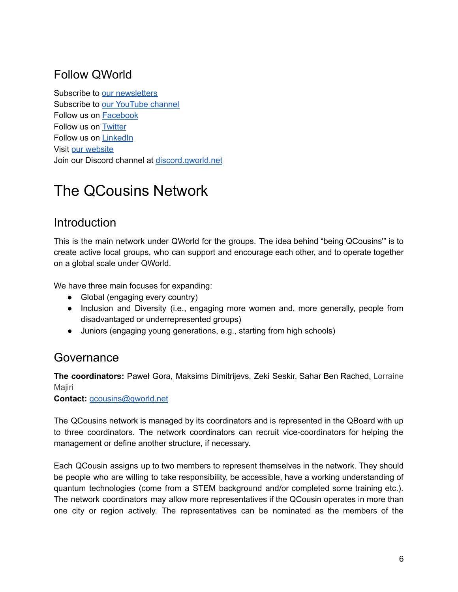## <span id="page-5-0"></span>Follow QWorld

Subscribe to our [newsletters](https://qworld.net/newsletter-subscription/) Subscribe to our [YouTube](https://www.youtube.com/qworld19?sub_confirmation=1) channel Follow us on [Facebook](https://www.facebook.com/qworld19/) Follow us on [Twitter](https://twitter.com/QWorld19) Follow us on [LinkedIn](https://www.linkedin.com/company/qworld19) Visit our [website](https://qworld.net) Join our Discord channel at [discord.qworld.net](http://discord.qworld.net)

## <span id="page-5-1"></span>The QCousins Network

## <span id="page-5-2"></span>**Introduction**

This is the main network under QWorld for the groups. The idea behind "being QCousins'" is to create active local groups, who can support and encourage each other, and to operate together on a global scale under QWorld.

We have three main focuses for expanding:

- Global (engaging every country)
- Inclusion and Diversity (i.e., engaging more women and, more generally, people from disadvantaged or underrepresented groups)
- Juniors (engaging young generations, e.g., starting from high schools)

### <span id="page-5-3"></span>Governance

**The coordinators:** Paweł Gora, Maksims Dimitrijevs, Zeki Seskir, Sahar Ben Rached, Lorraine **Majiri** 

**Contact:** [qcousins@qworld.net](mailto:qcousins@qworld.net)

The QCousins network is managed by its coordinators and is represented in the QBoard with up to three coordinators. The network coordinators can recruit vice-coordinators for helping the management or define another structure, if necessary.

Each QCousin assigns up to two members to represent themselves in the network. They should be people who are willing to take responsibility, be accessible, have a working understanding of quantum technologies (come from a STEM background and/or completed some training etc.). The network coordinators may allow more representatives if the QCousin operates in more than one city or region actively. The representatives can be nominated as the members of the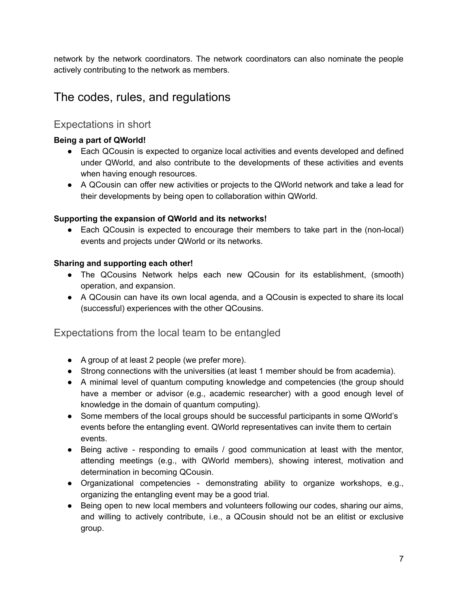network by the network coordinators. The network coordinators can also nominate the people actively contributing to the network as members.

## <span id="page-6-0"></span>The codes, rules, and regulations

#### <span id="page-6-1"></span>Expectations in short

#### **Being a part of QWorld!**

- Each QCousin is expected to organize local activities and events developed and defined under QWorld, and also contribute to the developments of these activities and events when having enough resources.
- A QCousin can offer new activities or projects to the QWorld network and take a lead for their developments by being open to collaboration within QWorld.

#### **Supporting the expansion of QWorld and its networks!**

● Each QCousin is expected to encourage their members to take part in the (non-local) events and projects under QWorld or its networks.

#### **Sharing and supporting each other!**

- The QCousins Network helps each new QCousin for its establishment, (smooth) operation, and expansion.
- A QCousin can have its own local agenda, and a QCousin is expected to share its local (successful) experiences with the other QCousins.

<span id="page-6-2"></span>Expectations from the local team to be entangled

- A group of at least 2 people (we prefer more).
- Strong connections with the universities (at least 1 member should be from academia).
- A minimal level of quantum computing knowledge and competencies (the group should have a member or advisor (e.g., academic researcher) with a good enough level of knowledge in the domain of quantum computing).
- Some members of the local groups should be successful participants in some QWorld's events before the entangling event. QWorld representatives can invite them to certain events.
- Being active responding to emails / good communication at least with the mentor, attending meetings (e.g., with QWorld members), showing interest, motivation and determination in becoming QCousin.
- Organizational competencies demonstrating ability to organize workshops, e.g., organizing the entangling event may be a good trial.
- Being open to new local members and volunteers following our codes, sharing our aims, and willing to actively contribute, i.e., a QCousin should not be an elitist or exclusive group.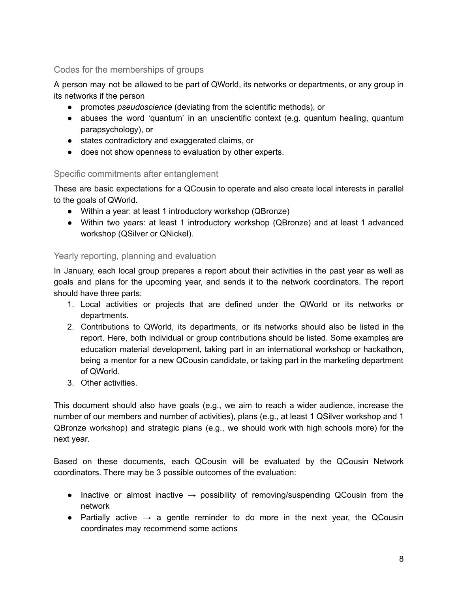#### <span id="page-7-0"></span>Codes for the memberships of groups

A person may not be allowed to be part of QWorld, its networks or departments, or any group in its networks if the person

- promotes *pseudoscience* (deviating from the scientific methods), or
- abuses the word 'quantum' in an unscientific context (e.g. quantum healing, quantum parapsychology), or
- states contradictory and exaggerated claims, or
- does not show openness to evaluation by other experts.

#### <span id="page-7-1"></span>Specific commitments after entanglement

These are basic expectations for a QCousin to operate and also create local interests in parallel to the goals of QWorld.

- Within a year: at least 1 introductory workshop (QBronze)
- Within two years: at least 1 introductory workshop (QBronze) and at least 1 advanced workshop (QSilver or QNickel).

#### <span id="page-7-2"></span>Yearly reporting, planning and evaluation

In January, each local group prepares a report about their activities in the past year as well as goals and plans for the upcoming year, and sends it to the network coordinators. The report should have three parts:

- 1. Local activities or projects that are defined under the QWorld or its networks or departments.
- 2. Contributions to QWorld, its departments, or its networks should also be listed in the report. Here, both individual or group contributions should be listed. Some examples are education material development, taking part in an international workshop or hackathon, being a mentor for a new QCousin candidate, or taking part in the marketing department of QWorld.
- 3. Other activities.

This document should also have goals (e.g., we aim to reach a wider audience, increase the number of our members and number of activities), plans (e.g., at least 1 QSilver workshop and 1 QBronze workshop) and strategic plans (e.g., we should work with high schools more) for the next year.

Based on these documents, each QCousin will be evaluated by the QCousin Network coordinators. There may be 3 possible outcomes of the evaluation:

- Inactive or almost inactive  $\rightarrow$  possibility of removing/suspending QCousin from the network
- Partially active  $\rightarrow$  a gentle reminder to do more in the next year, the QCousin coordinates may recommend some actions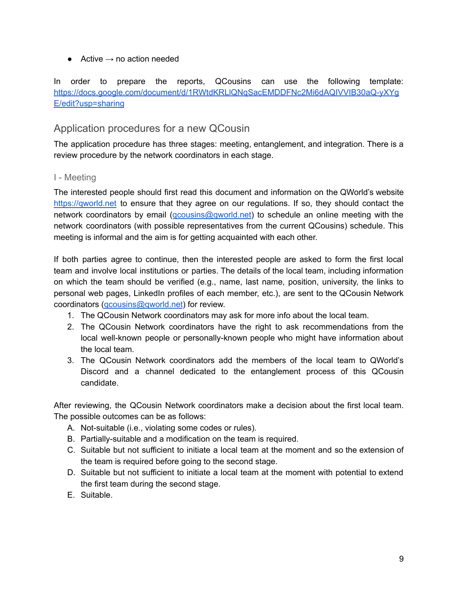• Active  $\rightarrow$  no action needed

In order to prepare the reports, QCousins can use the following template: [https://docs.google.com/document/d/1RWtdKRLlQNqSacEMDDFNc2Mi6dAQIVVIB30aQ-yXYg](https://docs.google.com/document/d/1RWtdKRLlQNqSacEMDDFNc2Mi6dAQIVVIB30aQ-yXYgE/edit?usp=sharing) [E/edit?usp=sharing](https://docs.google.com/document/d/1RWtdKRLlQNqSacEMDDFNc2Mi6dAQIVVIB30aQ-yXYgE/edit?usp=sharing)

#### <span id="page-8-0"></span>Application procedures for a new QCousin

The application procedure has three stages: meeting, entanglement, and integration. There is a review procedure by the network coordinators in each stage.

#### <span id="page-8-1"></span>I - Meeting

The interested people should first read this document and information on the QWorld's website <https://qworld.net> to ensure that they agree on our regulations. If so, they should contact the network coordinators by email ([qcousins@qworld.net\)](mailto:qcousins@qworld.net) to schedule an online meeting with the network coordinators (with possible representatives from the current QCousins) schedule. This meeting is informal and the aim is for getting acquainted with each other.

If both parties agree to continue, then the interested people are asked to form the first local team and involve local institutions or parties. The details of the local team, including information on which the team should be verified (e.g., name, last name, position, university, the links to personal web pages, LinkedIn profiles of each member, etc.), are sent to the QCousin Network coordinators (*qcousins@qworld.net*) for review.

- 1. The QCousin Network coordinators may ask for more info about the local team.
- 2. The QCousin Network coordinators have the right to ask recommendations from the local well-known people or personally-known people who might have information about the local team.
- 3. The QCousin Network coordinators add the members of the local team to QWorld's Discord and a channel dedicated to the entanglement process of this QCousin candidate.

After reviewing, the QCousin Network coordinators make a decision about the first local team. The possible outcomes can be as follows:

- A. Not-suitable (i.e., violating some codes or rules).
- B. Partially-suitable and a modification on the team is required.
- C. Suitable but not sufficient to initiate a local team at the moment and so the extension of the team is required before going to the second stage.
- D. Suitable but not sufficient to initiate a local team at the moment with potential to extend the first team during the second stage.
- E. Suitable.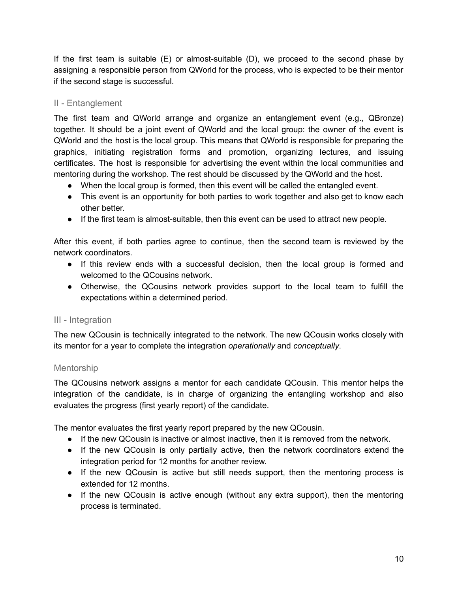If the first team is suitable  $(E)$  or almost-suitable  $(D)$ , we proceed to the second phase by assigning a responsible person from QWorld for the process, who is expected to be their mentor if the second stage is successful.

#### <span id="page-9-0"></span>II - Entanglement

The first team and QWorld arrange and organize an entanglement event (e.g., QBronze) together. It should be a joint event of QWorld and the local group: the owner of the event is QWorld and the host is the local group. This means that QWorld is responsible for preparing the graphics, initiating registration forms and promotion, organizing lectures, and issuing certificates. The host is responsible for advertising the event within the local communities and mentoring during the workshop. The rest should be discussed by the QWorld and the host.

- When the local group is formed, then this event will be called the entangled event.
- This event is an opportunity for both parties to work together and also get to know each other better.
- If the first team is almost-suitable, then this event can be used to attract new people.

After this event, if both parties agree to continue, then the second team is reviewed by the network coordinators.

- If this review ends with a successful decision, then the local group is formed and welcomed to the QCousins network.
- Otherwise, the QCousins network provides support to the local team to fulfill the expectations within a determined period.

#### <span id="page-9-1"></span>III - Integration

The new QCousin is technically integrated to the network. The new QCousin works closely with its mentor for a year to complete the integration *operationally* and *conceptually*.

#### <span id="page-9-2"></span>Mentorship

The QCousins network assigns a mentor for each candidate QCousin. This mentor helps the integration of the candidate, is in charge of organizing the entangling workshop and also evaluates the progress (first yearly report) of the candidate.

The mentor evaluates the first yearly report prepared by the new QCousin.

- If the new QCousin is inactive or almost inactive, then it is removed from the network.
- If the new QCousin is only partially active, then the network coordinators extend the integration period for 12 months for another review.
- If the new QCousin is active but still needs support, then the mentoring process is extended for 12 months.
- If the new QCousin is active enough (without any extra support), then the mentoring process is terminated.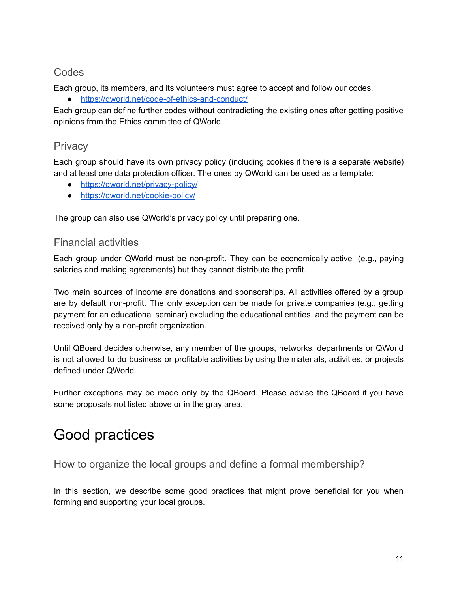#### <span id="page-10-0"></span>**Codes**

Each group, its members, and its volunteers must agree to accept and follow our codes.

● <https://qworld.net/code-of-ethics-and-conduct/>

Each group can define further codes without contradicting the existing ones after getting positive opinions from the Ethics committee of QWorld.

#### <span id="page-10-1"></span>**Privacy**

Each group should have its own privacy policy (including cookies if there is a separate website) and at least one data protection officer. The ones by QWorld can be used as a template:

- <https://qworld.net/privacy-policy/>
- <https://qworld.net/cookie-policy/>

<span id="page-10-2"></span>The group can also use QWorld's privacy policy until preparing one.

#### Financial activities

Each group under QWorld must be non-profit. They can be economically active (e.g., paying salaries and making agreements) but they cannot distribute the profit.

Two main sources of income are donations and sponsorships. All activities offered by a group are by default non-profit. The only exception can be made for private companies (e.g., getting payment for an educational seminar) excluding the educational entities, and the payment can be received only by a non-profit organization.

Until QBoard decides otherwise, any member of the groups, networks, departments or QWorld is not allowed to do business or profitable activities by using the materials, activities, or projects defined under QWorld.

Further exceptions may be made only by the QBoard. Please advise the QBoard if you have some proposals not listed above or in the gray area.

## <span id="page-10-3"></span>Good practices

<span id="page-10-4"></span>How to organize the local groups and define a formal membership?

In this section, we describe some good practices that might prove beneficial for you when forming and supporting your local groups.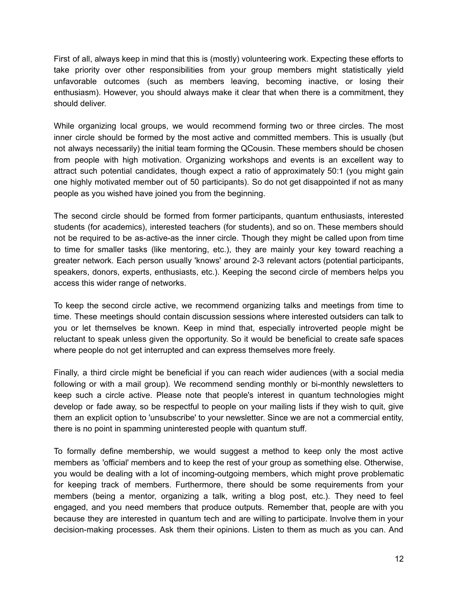First of all, always keep in mind that this is (mostly) volunteering work. Expecting these efforts to take priority over other responsibilities from your group members might statistically yield unfavorable outcomes (such as members leaving, becoming inactive, or losing their enthusiasm). However, you should always make it clear that when there is a commitment, they should deliver.

While organizing local groups, we would recommend forming two or three circles. The most inner circle should be formed by the most active and committed members. This is usually (but not always necessarily) the initial team forming the QCousin. These members should be chosen from people with high motivation. Organizing workshops and events is an excellent way to attract such potential candidates, though expect a ratio of approximately 50:1 (you might gain one highly motivated member out of 50 participants). So do not get disappointed if not as many people as you wished have joined you from the beginning.

The second circle should be formed from former participants, quantum enthusiasts, interested students (for academics), interested teachers (for students), and so on. These members should not be required to be as-active-as the inner circle. Though they might be called upon from time to time for smaller tasks (like mentoring, etc.), they are mainly your key toward reaching a greater network. Each person usually 'knows' around 2-3 relevant actors (potential participants, speakers, donors, experts, enthusiasts, etc.). Keeping the second circle of members helps you access this wider range of networks.

To keep the second circle active, we recommend organizing talks and meetings from time to time. These meetings should contain discussion sessions where interested outsiders can talk to you or let themselves be known. Keep in mind that, especially introverted people might be reluctant to speak unless given the opportunity. So it would be beneficial to create safe spaces where people do not get interrupted and can express themselves more freely.

Finally, a third circle might be beneficial if you can reach wider audiences (with a social media following or with a mail group). We recommend sending monthly or bi-monthly newsletters to keep such a circle active. Please note that people's interest in quantum technologies might develop or fade away, so be respectful to people on your mailing lists if they wish to quit, give them an explicit option to 'unsubscribe' to your newsletter. Since we are not a commercial entity, there is no point in spamming uninterested people with quantum stuff.

To formally define membership, we would suggest a method to keep only the most active members as 'official' members and to keep the rest of your group as something else. Otherwise, you would be dealing with a lot of incoming-outgoing members, which might prove problematic for keeping track of members. Furthermore, there should be some requirements from your members (being a mentor, organizing a talk, writing a blog post, etc.). They need to feel engaged, and you need members that produce outputs. Remember that, people are with you because they are interested in quantum tech and are willing to participate. Involve them in your decision-making processes. Ask them their opinions. Listen to them as much as you can. And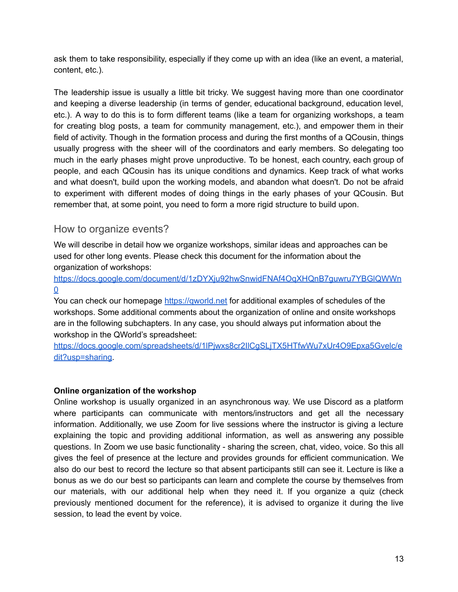ask them to take responsibility, especially if they come up with an idea (like an event, a material, content, etc.).

The leadership issue is usually a little bit tricky. We suggest having more than one coordinator and keeping a diverse leadership (in terms of gender, educational background, education level, etc.). A way to do this is to form different teams (like a team for organizing workshops, a team for creating blog posts, a team for community management, etc.), and empower them in their field of activity. Though in the formation process and during the first months of a QCousin, things usually progress with the sheer will of the coordinators and early members. So delegating too much in the early phases might prove unproductive. To be honest, each country, each group of people, and each QCousin has its unique conditions and dynamics. Keep track of what works and what doesn't, build upon the working models, and abandon what doesn't. Do not be afraid to experiment with different modes of doing things in the early phases of your QCousin. But remember that, at some point, you need to form a more rigid structure to build upon.

#### <span id="page-12-0"></span>How to organize events?

We will describe in detail how we organize workshops, similar ideas and approaches can be used for other long events. Please check this document for the information about the organization of workshops:

[https://docs.google.com/document/d/1zDYXju92hwSnwidFNAf4OqXHQnB7guwru7YBGlQWWn](https://docs.google.com/document/d/1zDYXju92hwSnwidFNAf4OqXHQnB7guwru7YBGlQWWn0) [0](https://docs.google.com/document/d/1zDYXju92hwSnwidFNAf4OqXHQnB7guwru7YBGlQWWn0)

You can check our homepage https://gworld.net for additional examples of schedules of the workshops. Some additional comments about the organization of online and onsite workshops are in the following subchapters. In any case, you should always put information about the workshop in the QWorld's spreadsheet:

[https://docs.google.com/spreadsheets/d/1lPjwxs8cr2IlCgSLjTX5HTfwWu7xUr4O9Epxa5Gvelc/e](https://docs.google.com/spreadsheets/d/1lPjwxs8cr2IlCgSLjTX5HTfwWu7xUr4O9Epxa5Gvelc/edit?usp=sharing) [dit?usp=sharing.](https://docs.google.com/spreadsheets/d/1lPjwxs8cr2IlCgSLjTX5HTfwWu7xUr4O9Epxa5Gvelc/edit?usp=sharing)

#### **Online organization of the workshop**

Online workshop is usually organized in an asynchronous way. We use Discord as a platform where participants can communicate with mentors/instructors and get all the necessary information. Additionally, we use Zoom for live sessions where the instructor is giving a lecture explaining the topic and providing additional information, as well as answering any possible questions. In Zoom we use basic functionality - sharing the screen, chat, video, voice. So this all gives the feel of presence at the lecture and provides grounds for efficient communication. We also do our best to record the lecture so that absent participants still can see it. Lecture is like a bonus as we do our best so participants can learn and complete the course by themselves from our materials, with our additional help when they need it. If you organize a quiz (check previously mentioned document for the reference), it is advised to organize it during the live session, to lead the event by voice.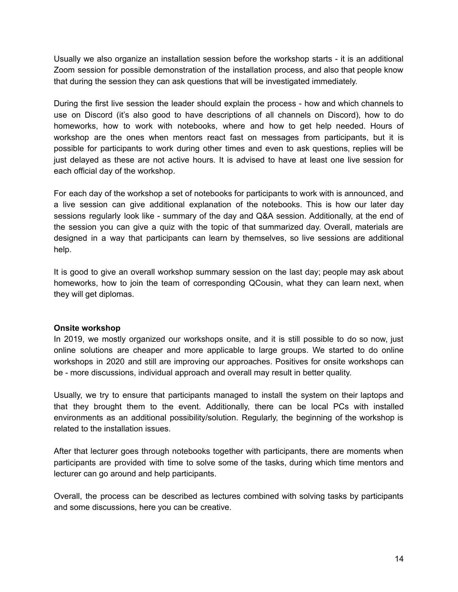Usually we also organize an installation session before the workshop starts - it is an additional Zoom session for possible demonstration of the installation process, and also that people know that during the session they can ask questions that will be investigated immediately.

During the first live session the leader should explain the process - how and which channels to use on Discord (it's also good to have descriptions of all channels on Discord), how to do homeworks, how to work with notebooks, where and how to get help needed. Hours of workshop are the ones when mentors react fast on messages from participants, but it is possible for participants to work during other times and even to ask questions, replies will be just delayed as these are not active hours. It is advised to have at least one live session for each official day of the workshop.

For each day of the workshop a set of notebooks for participants to work with is announced, and a live session can give additional explanation of the notebooks. This is how our later day sessions regularly look like - summary of the day and Q&A session. Additionally, at the end of the session you can give a quiz with the topic of that summarized day. Overall, materials are designed in a way that participants can learn by themselves, so live sessions are additional help.

It is good to give an overall workshop summary session on the last day; people may ask about homeworks, how to join the team of corresponding QCousin, what they can learn next, when they will get diplomas.

#### **Onsite workshop**

In 2019, we mostly organized our workshops onsite, and it is still possible to do so now, just online solutions are cheaper and more applicable to large groups. We started to do online workshops in 2020 and still are improving our approaches. Positives for onsite workshops can be - more discussions, individual approach and overall may result in better quality.

Usually, we try to ensure that participants managed to install the system on their laptops and that they brought them to the event. Additionally, there can be local PCs with installed environments as an additional possibility/solution. Regularly, the beginning of the workshop is related to the installation issues.

After that lecturer goes through notebooks together with participants, there are moments when participants are provided with time to solve some of the tasks, during which time mentors and lecturer can go around and help participants.

Overall, the process can be described as lectures combined with solving tasks by participants and some discussions, here you can be creative.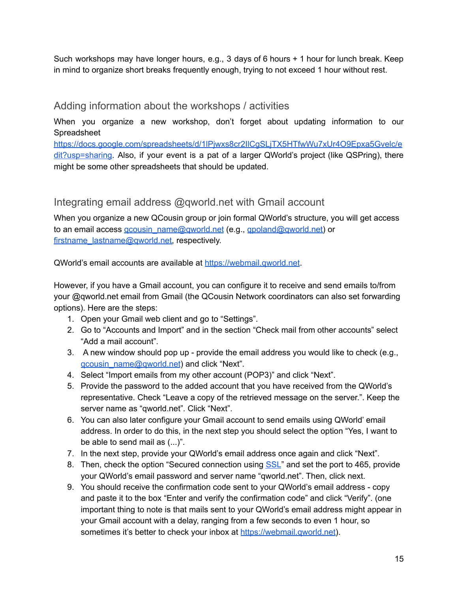Such workshops may have longer hours, e.g., 3 days of 6 hours + 1 hour for lunch break. Keep in mind to organize short breaks frequently enough, trying to not exceed 1 hour without rest.

#### <span id="page-14-0"></span>Adding information about the workshops / activities

When you organize a new workshop, don't forget about updating information to our Spreadsheet

[https://docs.google.com/spreadsheets/d/1lPjwxs8cr2IlCgSLjTX5HTfwWu7xUr4O9Epxa5Gvelc/e](https://docs.google.com/spreadsheets/d/1lPjwxs8cr2IlCgSLjTX5HTfwWu7xUr4O9Epxa5Gvelc/edit?usp=sharing) [dit?usp=sharing.](https://docs.google.com/spreadsheets/d/1lPjwxs8cr2IlCgSLjTX5HTfwWu7xUr4O9Epxa5Gvelc/edit?usp=sharing) Also, if your event is a pat of a larger QWorld's project (like QSPring), there might be some other spreadsheets that should be updated.

#### <span id="page-14-1"></span>Integrating email address @gworld.net with Gmail account

When you organize a new QCousin group or join formal QWorld's structure, you will get access to an email access gcousin\_name@gworld.net (e.g., gpoland@gworld.net) or firstname\_lastname@gworld.net, respectively.

QWorld's email accounts are available at [https://webmail.qworld.net.](https://webmail.qworld.net/)

However, if you have a Gmail account, you can configure it to receive and send emails to/from your @qworld.net email from Gmail (the QCousin Network coordinators can also set forwarding options). Here are the steps:

- 1. Open your Gmail web client and go to "Settings".
- 2. Go to "Accounts and Import" and in the section "Check mail from other accounts" select "Add a mail account".
- 3. A new window should pop up provide the email address you would like to check (e.g., gcousin\_name@gworld.net) and click "Next".
- 4. Select "Import emails from my other account (POP3)" and click "Next".
- 5. Provide the password to the added account that you have received from the QWorld's representative. Check "Leave a copy of the retrieved message on the server.". Keep the server name as "qworld.net". Click "Next".
- 6. You can also later configure your Gmail account to send emails using QWorld' email address. In order to do this, in the next step you should select the option "Yes, I want to be able to send mail as (...)".
- 7. In the next step, provide your QWorld's email address once again and click "Next".
- 8. Then, check the option "Secured connection using **[SSL](https://support.google.com/mail/bin/answer.py?ctx=gmail&answer=1074635&hl=en&authuser=4)**" and set the port to 465, provide your QWorld's email password and server name "qworld.net". Then, click next.
- 9. You should receive the confirmation code sent to your QWorld's email address copy and paste it to the box "Enter and verify the confirmation code" and click "Verify". (one important thing to note is that mails sent to your QWorld's email address might appear in your Gmail account with a delay, ranging from a few seconds to even 1 hour, so sometimes it's better to check your inbox at https://webmail.gworld.net).